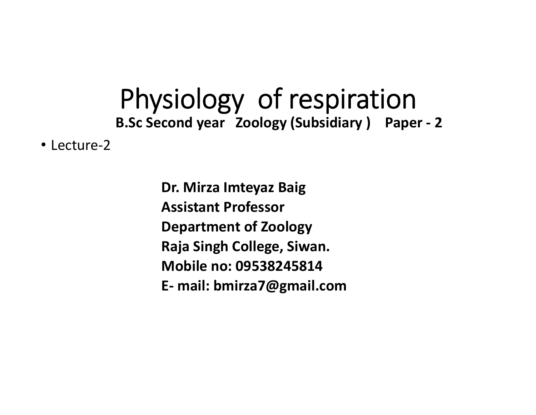## Physiology of respiration **B.Sc Second year Zoology (Subsidiary ) Paper ‐ 2**

• Lecture-2

**Dr. Mirza Imteyaz Baig Assistant ProfessorDepartment of Zoology Raja Singh College, Siwan. Mobile no: 09538245814E‐ mail: bmirza7@gmail.com**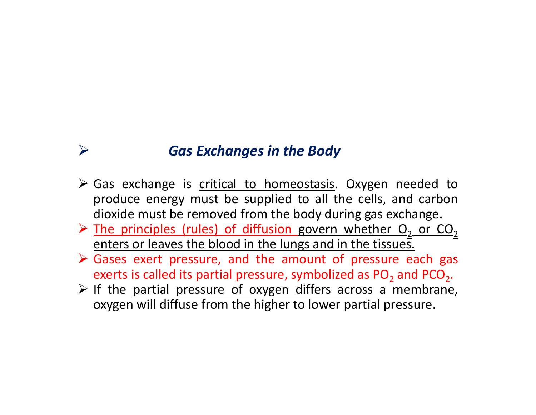## *Gas Exchanges in the Body*

 $\blacktriangleright$ 

- > Gas exchange is critical to homeostasis. Oxygen needed to produce energy must be supplied to all the cells, and carbon dioxide must be removed from the body during gas exchange.
- $\triangleright$  The principles (rules) of diffusion govern whether O<sub>2</sub> or CO<sub>2</sub> enters or leaves the blood in the lungs and in the tissues.
- Gases exert pressure, and the amount of pressure each gas exerts is called its partial pressure, symbolized as PO $_2$  and PCO $_2\!$
- $\triangleright$  If the partial pressure of oxygen differs across a membrane, oxygen will diffuse from the higher to lower partial pressure.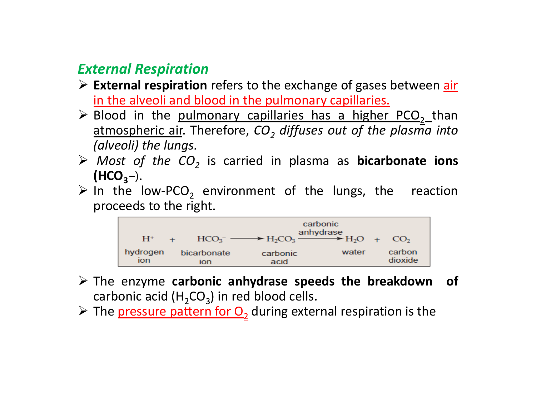## *External Respiration*

- **External respiration** refers to the exchange of gases between air in the alveoli and blood in the pulmonary capillaries.
- $\triangleright$  Blood in the pulmonary capillaries has a higher PCO<sub>2</sub> than atmospheric air. Therefore, *CO2 diffuses out of the plasma into (alveoli) the lungs.*
- *Most of the CO2* is carried in plasma as **bicarbonate ions**  $(HCO<sub>3</sub>–).$
- $\triangleright$  In the low-PCO<sub>2</sub> environment of the lungs, the reaction proceeds to the right.



- The enzyme **carbonic anhydrase speeds the breakdown of** carbonic acid  $(H_2CO_3)$  in red blood cells.
- $\triangleright$  The pressure pattern for  $O_2$  during external respiration is the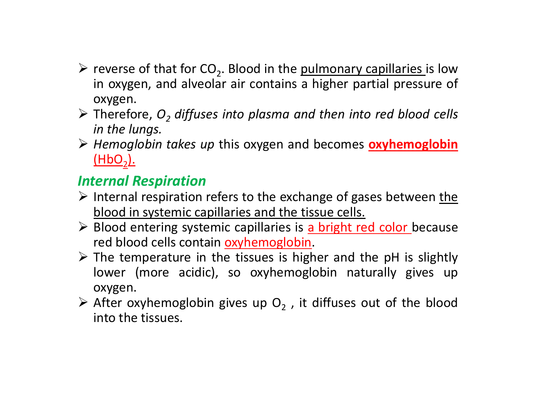- $\triangleright$  reverse of that for CO<sub>2</sub>. Blood in the <u>pulmonary capillaries</u> is low in oxygen, and alveolar air contains <sup>a</sup> higher partial pressure of oxygen.
- Therefore, *O 2 diffuses into plasma and then into red blood cells in the lungs.*
- *Hemoglobin takes up* this oxygen and becomes **oxyhemoglobin** (HbO 2).

## *Internal Respiration*

- $\triangleright$  Internal respiration refers to the exchange of gases between the blood in systemic capillaries and the tissue cells.
- Blood entering systemic capillaries is a bright red color because red blood cells contain oxyhemoglobin.
- $\triangleright$  The temperature in the tissues is higher and the pH is slightly lower (more acidic), so oxyhemoglobin naturally gives up oxygen.
- $\triangleright$  After oxyhemoglobin gives up O<sub>2</sub>, it diffuses out of the blood into the tissues.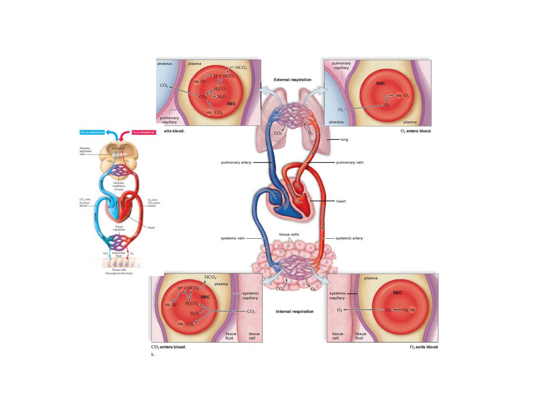